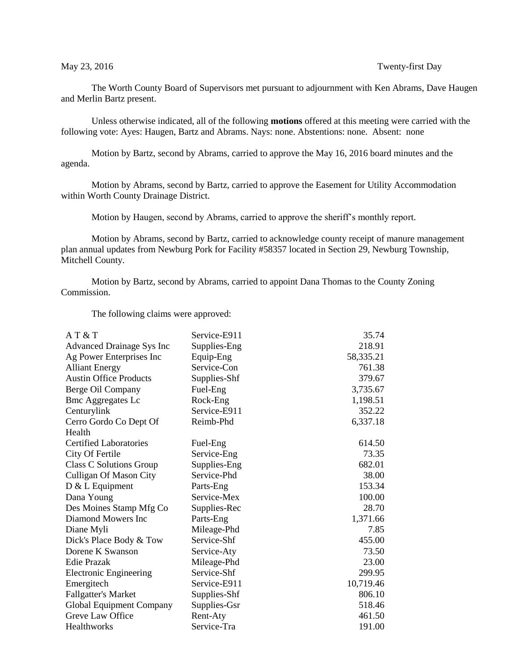## May 23, 2016 Twenty-first Day

The Worth County Board of Supervisors met pursuant to adjournment with Ken Abrams, Dave Haugen and Merlin Bartz present.

Unless otherwise indicated, all of the following **motions** offered at this meeting were carried with the following vote: Ayes: Haugen, Bartz and Abrams. Nays: none. Abstentions: none. Absent: none

Motion by Bartz, second by Abrams, carried to approve the May 16, 2016 board minutes and the agenda.

Motion by Abrams, second by Bartz, carried to approve the Easement for Utility Accommodation within Worth County Drainage District.

Motion by Haugen, second by Abrams, carried to approve the sheriff's monthly report.

Motion by Abrams, second by Bartz, carried to acknowledge county receipt of manure management plan annual updates from Newburg Pork for Facility #58357 located in Section 29, Newburg Township, Mitchell County.

Motion by Bartz, second by Abrams, carried to appoint Dana Thomas to the County Zoning Commission.

The following claims were approved:

| AT&T                           | Service-E911 | 35.74     |
|--------------------------------|--------------|-----------|
| Advanced Drainage Sys Inc      | Supplies-Eng | 218.91    |
| Ag Power Enterprises Inc       | Equip-Eng    | 58,335.21 |
| <b>Alliant Energy</b>          | Service-Con  | 761.38    |
| <b>Austin Office Products</b>  | Supplies-Shf | 379.67    |
| Berge Oil Company              | Fuel-Eng     | 3,735.67  |
| <b>Bmc Aggregates Lc</b>       | Rock-Eng     | 1,198.51  |
| Centurylink                    | Service-E911 | 352.22    |
| Cerro Gordo Co Dept Of         | Reimb-Phd    | 6,337.18  |
| Health                         |              |           |
| <b>Certified Laboratories</b>  | Fuel-Eng     | 614.50    |
| City Of Fertile                | Service-Eng  | 73.35     |
| <b>Class C Solutions Group</b> | Supplies-Eng | 682.01    |
| <b>Culligan Of Mason City</b>  | Service-Phd  | 38.00     |
| $D & L$ Equipment              | Parts-Eng    | 153.34    |
| Dana Young                     | Service-Mex  | 100.00    |
| Des Moines Stamp Mfg Co        | Supplies-Rec | 28.70     |
| Diamond Mowers Inc             | Parts-Eng    | 1,371.66  |
| Diane Myli                     | Mileage-Phd  | 7.85      |
| Dick's Place Body & Tow        | Service-Shf  | 455.00    |
| Dorene K Swanson               | Service-Aty  | 73.50     |
| <b>Edie Prazak</b>             | Mileage-Phd  | 23.00     |
| <b>Electronic Engineering</b>  | Service-Shf  | 299.95    |
| Emergitech                     | Service-E911 | 10,719.46 |
| <b>Fallgatter's Market</b>     | Supplies-Shf | 806.10    |
| Global Equipment Company       | Supplies-Gsr | 518.46    |
| Greve Law Office               | Rent-Aty     | 461.50    |
| Healthworks                    | Service-Tra  | 191.00    |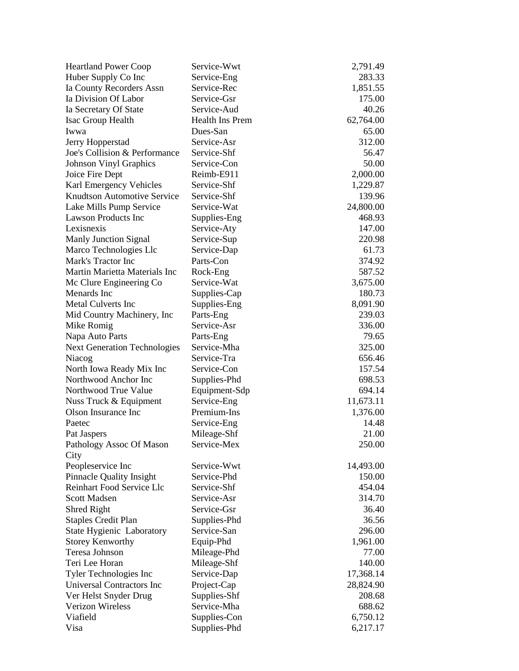| <b>Heartland Power Coop</b>         | Service-Wwt            | 2,791.49  |
|-------------------------------------|------------------------|-----------|
| Huber Supply Co Inc                 | Service-Eng            | 283.33    |
| Ia County Recorders Assn            | Service-Rec            | 1,851.55  |
| Ia Division Of Labor                | Service-Gsr            | 175.00    |
| Ia Secretary Of State               | Service-Aud            | 40.26     |
| Isac Group Health                   | <b>Health Ins Prem</b> | 62,764.00 |
| Iwwa                                | Dues-San               | 65.00     |
| Jerry Hopperstad                    | Service-Asr            | 312.00    |
| Joe's Collision & Performance       | Service-Shf            | 56.47     |
| <b>Johnson Vinyl Graphics</b>       | Service-Con            | 50.00     |
| Joice Fire Dept                     | Reimb-E911             | 2,000.00  |
| Karl Emergency Vehicles             | Service-Shf            | 1,229.87  |
| <b>Knudtson Automotive Service</b>  | Service-Shf            | 139.96    |
| Lake Mills Pump Service             | Service-Wat            | 24,800.00 |
| <b>Lawson Products Inc</b>          | Supplies-Eng           | 468.93    |
| Lexisnexis                          | Service-Aty            | 147.00    |
| <b>Manly Junction Signal</b>        | Service-Sup            | 220.98    |
| Marco Technologies Llc              | Service-Dap            | 61.73     |
| Mark's Tractor Inc                  | Parts-Con              | 374.92    |
| Martin Marietta Materials Inc       | Rock-Eng               | 587.52    |
| Mc Clure Engineering Co             | Service-Wat            | 3,675.00  |
| Menards Inc                         | Supplies-Cap           | 180.73    |
| Metal Culverts Inc                  | Supplies-Eng           | 8,091.90  |
| Mid Country Machinery, Inc.         | Parts-Eng              | 239.03    |
| Mike Romig                          | Service-Asr            | 336.00    |
| Napa Auto Parts                     | Parts-Eng              | 79.65     |
| <b>Next Generation Technologies</b> | Service-Mha            | 325.00    |
| Niacog                              | Service-Tra            | 656.46    |
| North Iowa Ready Mix Inc            | Service-Con            | 157.54    |
| Northwood Anchor Inc                | Supplies-Phd           | 698.53    |
| Northwood True Value                | Equipment-Sdp          | 694.14    |
| Nuss Truck & Equipment              | Service-Eng            | 11,673.11 |
| Olson Insurance Inc                 | Premium-Ins            | 1,376.00  |
| Paetec                              | Service-Eng            | 14.48     |
| Pat Jaspers                         | Mileage-Shf            | 21.00     |
| Pathology Assoc Of Mason            | Service-Mex            | 250.00    |
| City                                |                        |           |
| Peopleservice Inc                   | Service-Wwt            | 14,493.00 |
| <b>Pinnacle Quality Insight</b>     | Service-Phd            | 150.00    |
| Reinhart Food Service Llc           | Service-Shf            | 454.04    |
| <b>Scott Madsen</b>                 | Service-Asr            | 314.70    |
| Shred Right                         | Service-Gsr            | 36.40     |
| <b>Staples Credit Plan</b>          | Supplies-Phd           | 36.56     |
| State Hygienic Laboratory           | Service-San            | 296.00    |
| <b>Storey Kenworthy</b>             | Equip-Phd              | 1,961.00  |
| Teresa Johnson                      | Mileage-Phd            | 77.00     |
| Teri Lee Horan                      | Mileage-Shf            | 140.00    |
| Tyler Technologies Inc              | Service-Dap            | 17,368.14 |
| Universal Contractors Inc           | Project-Cap            | 28,824.90 |
| Ver Helst Snyder Drug               | Supplies-Shf           | 208.68    |
| <b>Verizon Wireless</b>             | Service-Mha            | 688.62    |
| Viafield                            | Supplies-Con           | 6,750.12  |
| Visa                                | Supplies-Phd           | 6,217.17  |
|                                     |                        |           |